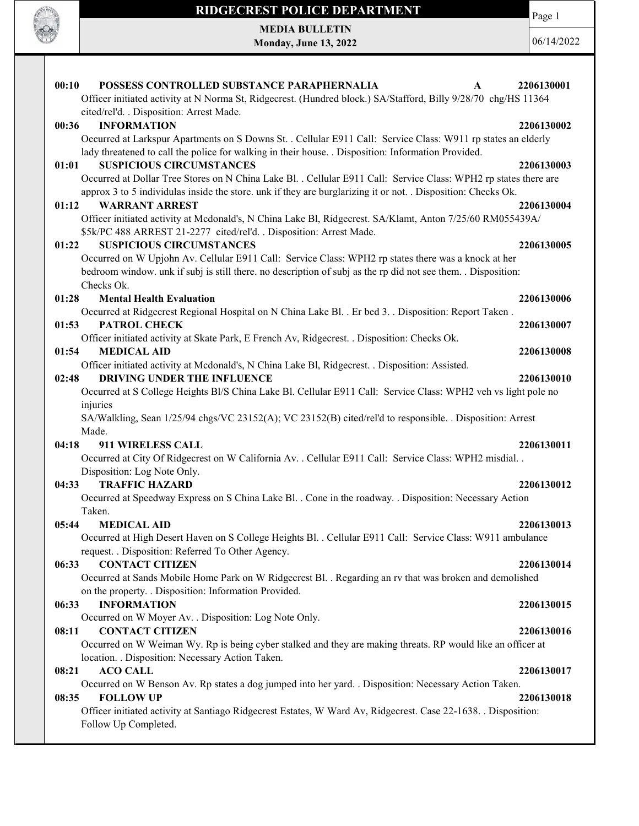

MEDIA BULLETIN Monday, June 13, 2022 Page 1

| POSSESS CONTROLLED SUBSTANCE PARAPHERNALIA<br>00:10<br>A                                                         | 2206130001 |
|------------------------------------------------------------------------------------------------------------------|------------|
| Officer initiated activity at N Norma St, Ridgecrest. (Hundred block.) SA/Stafford, Billy 9/28/70 chg/HS 11364   |            |
| cited/rel'd. . Disposition: Arrest Made.                                                                         |            |
| <b>INFORMATION</b><br>00:36                                                                                      | 2206130002 |
| Occurred at Larkspur Apartments on S Downs St. . Cellular E911 Call: Service Class: W911 rp states an elderly    |            |
| lady threatened to call the police for walking in their house. . Disposition: Information Provided.              |            |
| <b>SUSPICIOUS CIRCUMSTANCES</b><br>01:01                                                                         | 2206130003 |
| Occurred at Dollar Tree Stores on N China Lake Bl. . Cellular E911 Call: Service Class: WPH2 rp states there are |            |
| approx 3 to 5 individulas inside the store, unk if they are burglarizing it or not. . Disposition: Checks Ok.    |            |
| 01:12<br><b>WARRANT ARREST</b>                                                                                   | 2206130004 |
| Officer initiated activity at Mcdonald's, N China Lake Bl, Ridgecrest. SA/Klamt, Anton 7/25/60 RM055439A/        |            |
| \$5k/PC 488 ARREST 21-2277 cited/rel'd. . Disposition: Arrest Made.                                              |            |
| 01:22<br><b>SUSPICIOUS CIRCUMSTANCES</b>                                                                         | 2206130005 |
| Occurred on W Upjohn Av. Cellular E911 Call: Service Class: WPH2 rp states there was a knock at her              |            |
| bedroom window. unk if subj is still there. no description of subj as the rp did not see them. . Disposition:    |            |
| Checks Ok.                                                                                                       |            |
| 01:28<br><b>Mental Health Evaluation</b>                                                                         | 2206130006 |
| Occurred at Ridgecrest Regional Hospital on N China Lake Bl. . Er bed 3. . Disposition: Report Taken .           |            |
| PATROL CHECK<br>01:53                                                                                            | 2206130007 |
| Officer initiated activity at Skate Park, E French Av, Ridgecrest. . Disposition: Checks Ok.                     |            |
| <b>MEDICAL AID</b><br>01:54                                                                                      | 2206130008 |
| Officer initiated activity at Mcdonald's, N China Lake Bl, Ridgecrest. . Disposition: Assisted.                  |            |
| DRIVING UNDER THE INFLUENCE<br>02:48                                                                             | 2206130010 |
| Occurred at S College Heights Bl/S China Lake Bl. Cellular E911 Call: Service Class: WPH2 veh vs light pole no   |            |
| injuries                                                                                                         |            |
| SA/Walkling, Sean 1/25/94 chgs/VC 23152(A); VC 23152(B) cited/rel'd to responsible. . Disposition: Arrest        |            |
| Made.                                                                                                            |            |
| 04:18<br>911 WIRELESS CALL                                                                                       | 2206130011 |
| Occurred at City Of Ridgecrest on W California Av. . Cellular E911 Call: Service Class: WPH2 misdial. .          |            |
| Disposition: Log Note Only.                                                                                      |            |
| <b>TRAFFIC HAZARD</b><br>04:33                                                                                   | 2206130012 |
| Occurred at Speedway Express on S China Lake Bl. . Cone in the roadway. . Disposition: Necessary Action          |            |
| Taken.                                                                                                           |            |
| 05:44<br><b>MEDICAL AID</b>                                                                                      | 2206130013 |
| Occurred at High Desert Haven on S College Heights Bl. . Cellular E911 Call: Service Class: W911 ambulance       |            |
| request. . Disposition: Referred To Other Agency.                                                                |            |
| <b>CONTACT CITIZEN</b><br>06:33                                                                                  | 2206130014 |
| Occurred at Sands Mobile Home Park on W Ridgecrest Bl. . Regarding an rv that was broken and demolished          |            |
| on the property. . Disposition: Information Provided.                                                            |            |
| 06:33<br><b>INFORMATION</b>                                                                                      | 2206130015 |
| Occurred on W Moyer Av. . Disposition: Log Note Only.                                                            |            |
| <b>CONTACT CITIZEN</b><br>08:11                                                                                  | 2206130016 |
| Occurred on W Weiman Wy. Rp is being cyber stalked and they are making threats. RP would like an officer at      |            |
| location. . Disposition: Necessary Action Taken.                                                                 |            |
| <b>ACO CALL</b><br>08:21                                                                                         | 2206130017 |
| Occurred on W Benson Av. Rp states a dog jumped into her yard. . Disposition: Necessary Action Taken.            |            |
| <b>FOLLOW UP</b><br>08:35                                                                                        | 2206130018 |
| Officer initiated activity at Santiago Ridgecrest Estates, W Ward Av, Ridgecrest. Case 22-1638. . Disposition:   |            |
| Follow Up Completed.                                                                                             |            |
|                                                                                                                  |            |
|                                                                                                                  |            |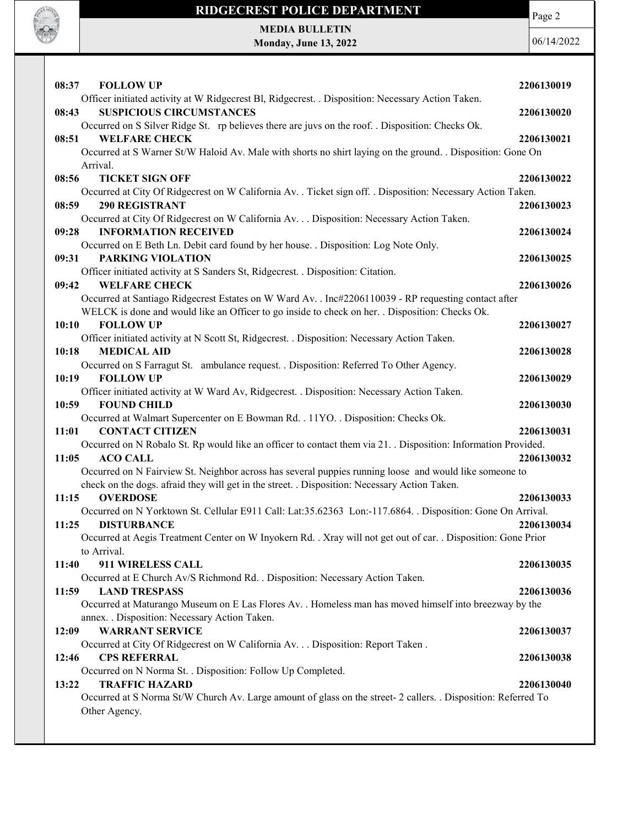

MEDIA BULLETIN Monday, June 13, 2022

**SOF OFFICER** 

| 08:37<br><b>FOLLOW UP</b>                                                                                                                                                                               | 2206130019 |
|---------------------------------------------------------------------------------------------------------------------------------------------------------------------------------------------------------|------------|
| Officer initiated activity at W Ridgecrest Bl, Ridgecrest. . Disposition: Necessary Action Taken.<br>08:43<br><b>SUSPICIOUS CIRCUMSTANCES</b>                                                           | 2206130020 |
| Occurred on S Silver Ridge St. rp believes there are juvs on the roof. . Disposition: Checks Ok.                                                                                                        |            |
| 08:51<br><b>WELFARE CHECK</b>                                                                                                                                                                           | 2206130021 |
| Occurred at S Warner St/W Haloid Av. Male with shorts no shirt laying on the ground. . Disposition: Gone On<br>Arrival.                                                                                 |            |
| <b>TICKET SIGN OFF</b><br>08:56                                                                                                                                                                         | 2206130022 |
| Occurred at City Of Ridgecrest on W California Av. . Ticket sign off. . Disposition: Necessary Action Taken.                                                                                            |            |
| <b>290 REGISTRANT</b><br>08:59                                                                                                                                                                          | 2206130023 |
| Occurred at City Of Ridgecrest on W California Av. Disposition: Necessary Action Taken.<br><b>INFORMATION RECEIVED</b><br>09:28                                                                         | 2206130024 |
| Occurred on E Beth Ln. Debit card found by her house. . Disposition: Log Note Only.                                                                                                                     |            |
| 09:31<br><b>PARKING VIOLATION</b>                                                                                                                                                                       | 2206130025 |
| Officer initiated activity at S Sanders St, Ridgecrest. . Disposition: Citation.<br>09:42<br><b>WELFARE CHECK</b>                                                                                       | 2206130026 |
| Occurred at Santiago Ridgecrest Estates on W Ward Av. . Inc#2206110039 - RP requesting contact after                                                                                                    |            |
| WELCK is done and would like an Officer to go inside to check on her. Disposition: Checks Ok.                                                                                                           |            |
| 10:10<br><b>FOLLOW UP</b>                                                                                                                                                                               | 2206130027 |
| Officer initiated activity at N Scott St, Ridgecrest. . Disposition: Necessary Action Taken.                                                                                                            |            |
| 10:18<br><b>MEDICAL AID</b>                                                                                                                                                                             | 2206130028 |
| Occurred on S Farragut St. ambulance request. . Disposition: Referred To Other Agency.                                                                                                                  |            |
| <b>FOLLOW UP</b><br>10:19<br>Officer initiated activity at W Ward Av, Ridgecrest. . Disposition: Necessary Action Taken.                                                                                | 2206130029 |
| <b>FOUND CHILD</b><br>10:59                                                                                                                                                                             | 2206130030 |
| Occurred at Walmart Supercenter on E Bowman Rd. . 11YO. . Disposition: Checks Ok.                                                                                                                       |            |
| <b>CONTACT CITIZEN</b><br>11:01                                                                                                                                                                         | 2206130031 |
| Occurred on N Robalo St. Rp would like an officer to contact them via 21. Disposition: Information Provided.                                                                                            |            |
| 11:05<br><b>ACO CALL</b>                                                                                                                                                                                | 2206130032 |
| Occurred on N Fairview St. Neighbor across has several puppies running loose and would like someone to<br>check on the dogs. afraid they will get in the street. . Disposition: Necessary Action Taken. |            |
| <b>OVERDOSE</b><br>11:15                                                                                                                                                                                | 2206130033 |
| Occurred on N Yorktown St. Cellular E911 Call: Lat:35.62363 Lon:-117.6864. . Disposition: Gone On Arrival.                                                                                              |            |
| 11:25<br><b>DISTURBANCE</b>                                                                                                                                                                             | 2206130034 |
| Occurred at Aegis Treatment Center on W Inyokern Rd. . Xray will not get out of car. . Disposition: Gone Prior<br>to Arrival.                                                                           |            |
| 911 WIRELESS CALL<br>11:40                                                                                                                                                                              | 2206130035 |
| Occurred at E Church Av/S Richmond Rd. . Disposition: Necessary Action Taken.                                                                                                                           |            |
| 11:59<br><b>LAND TRESPASS</b>                                                                                                                                                                           | 2206130036 |
| Occurred at Maturango Museum on E Las Flores Av. . Homeless man has moved himself into breezway by the                                                                                                  |            |
| annex. . Disposition: Necessary Action Taken.                                                                                                                                                           |            |
| <b>WARRANT SERVICE</b><br>12:09                                                                                                                                                                         | 2206130037 |
| Occurred at City Of Ridgecrest on W California Av. Disposition: Report Taken .<br>12:46                                                                                                                 |            |
| <b>CPS REFERRAL</b><br>Occurred on N Norma St. . Disposition: Follow Up Completed.                                                                                                                      | 2206130038 |
| 13:22<br><b>TRAFFIC HAZARD</b>                                                                                                                                                                          | 2206130040 |
| Occurred at S Norma St/W Church Av. Large amount of glass on the street- 2 callers. . Disposition: Referred To                                                                                          |            |
| Other Agency.                                                                                                                                                                                           |            |
|                                                                                                                                                                                                         |            |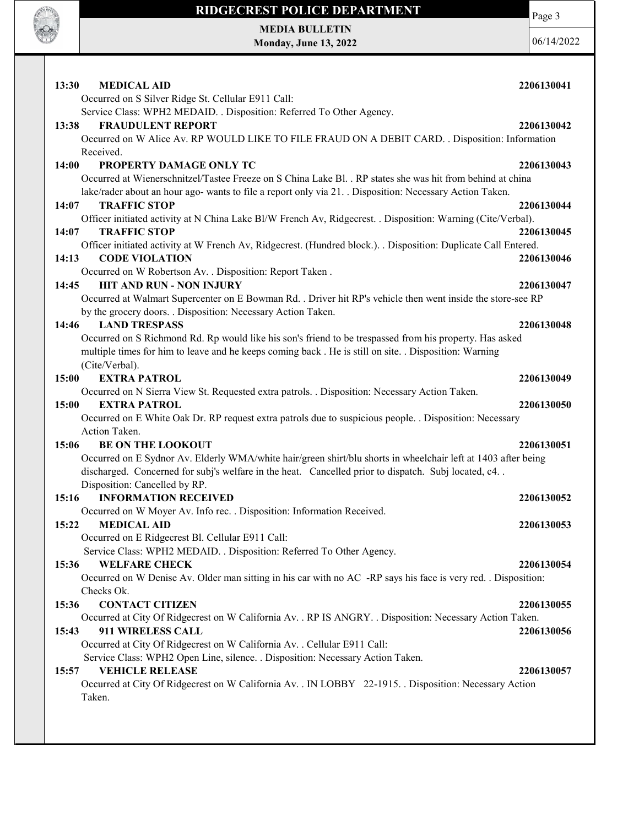

Page 3

MEDIA BULLETIN Monday, June 13, 2022

| <b>MEDICAL AID</b><br>13:30                                                                                                                                                                                      | 2206130041 |
|------------------------------------------------------------------------------------------------------------------------------------------------------------------------------------------------------------------|------------|
| Occurred on S Silver Ridge St. Cellular E911 Call:                                                                                                                                                               |            |
| Service Class: WPH2 MEDAID. . Disposition: Referred To Other Agency.                                                                                                                                             |            |
| <b>FRAUDULENT REPORT</b><br>13:38                                                                                                                                                                                | 2206130042 |
| Occurred on W Alice Av. RP WOULD LIKE TO FILE FRAUD ON A DEBIT CARD. . Disposition: Information                                                                                                                  |            |
| Received.                                                                                                                                                                                                        |            |
| 14:00<br>PROPERTY DAMAGE ONLY TC                                                                                                                                                                                 | 2206130043 |
| Occurred at Wienerschnitzel/Tastee Freeze on S China Lake Bl. . RP states she was hit from behind at china                                                                                                       |            |
| lake/rader about an hour ago- wants to file a report only via 21. . Disposition: Necessary Action Taken.                                                                                                         |            |
| <b>TRAFFIC STOP</b><br>14:07                                                                                                                                                                                     | 2206130044 |
| Officer initiated activity at N China Lake Bl/W French Av, Ridgecrest. . Disposition: Warning (Cite/Verbal).                                                                                                     |            |
| <b>TRAFFIC STOP</b><br>14:07                                                                                                                                                                                     | 2206130045 |
| Officer initiated activity at W French Av, Ridgecrest. (Hundred block.). . Disposition: Duplicate Call Entered.                                                                                                  |            |
| <b>CODE VIOLATION</b><br>14:13                                                                                                                                                                                   | 2206130046 |
| Occurred on W Robertson Av. . Disposition: Report Taken.                                                                                                                                                         |            |
| <b>HIT AND RUN - NON INJURY</b><br>14:45                                                                                                                                                                         | 2206130047 |
| Occurred at Walmart Supercenter on E Bowman Rd. . Driver hit RP's vehicle then went inside the store-see RP                                                                                                      |            |
| by the grocery doors. . Disposition: Necessary Action Taken.                                                                                                                                                     |            |
| 14:46<br><b>LAND TRESPASS</b>                                                                                                                                                                                    | 2206130048 |
| Occurred on S Richmond Rd. Rp would like his son's friend to be trespassed from his property. Has asked<br>multiple times for him to leave and he keeps coming back. He is still on site. . Disposition: Warning |            |
| (Cite/Verbal).                                                                                                                                                                                                   |            |
| <b>EXTRA PATROL</b><br>15:00                                                                                                                                                                                     | 2206130049 |
| Occurred on N Sierra View St. Requested extra patrols. . Disposition: Necessary Action Taken.                                                                                                                    |            |
| <b>EXTRA PATROL</b><br>15:00                                                                                                                                                                                     | 2206130050 |
| Occurred on E White Oak Dr. RP request extra patrols due to suspicious people. . Disposition: Necessary                                                                                                          |            |
| Action Taken.                                                                                                                                                                                                    |            |
| 15:06<br><b>BE ON THE LOOKOUT</b>                                                                                                                                                                                | 2206130051 |
| Occurred on E Sydnor Av. Elderly WMA/white hair/green shirt/blu shorts in wheelchair left at 1403 after being                                                                                                    |            |
| discharged. Concerned for subj's welfare in the heat. Cancelled prior to dispatch. Subj located, c4. .                                                                                                           |            |
| Disposition: Cancelled by RP.                                                                                                                                                                                    |            |
| <b>INFORMATION RECEIVED</b><br>15:16                                                                                                                                                                             | 2206130052 |
| Occurred on W Moyer Av. Info rec. . Disposition: Information Received.                                                                                                                                           |            |
| 15:22<br><b>MEDICAL AID</b>                                                                                                                                                                                      | 2206130053 |
| Occurred on E Ridgecrest Bl. Cellular E911 Call:                                                                                                                                                                 |            |
| Service Class: WPH2 MEDAID. . Disposition: Referred To Other Agency.                                                                                                                                             |            |
| <b>WELFARE CHECK</b><br>15:36                                                                                                                                                                                    | 2206130054 |
| Occurred on W Denise Av. Older man sitting in his car with no AC -RP says his face is very red. . Disposition:                                                                                                   |            |
| Checks Ok.                                                                                                                                                                                                       |            |
| <b>CONTACT CITIZEN</b><br>15:36                                                                                                                                                                                  | 2206130055 |
| Occurred at City Of Ridgecrest on W California Av. . RP IS ANGRY. . Disposition: Necessary Action Taken.                                                                                                         |            |
| 911 WIRELESS CALL<br>15:43                                                                                                                                                                                       | 2206130056 |
| Occurred at City Of Ridgecrest on W California Av. . Cellular E911 Call:                                                                                                                                         |            |
| Service Class: WPH2 Open Line, silence. . Disposition: Necessary Action Taken.                                                                                                                                   |            |
| <b>VEHICLE RELEASE</b><br>15:57                                                                                                                                                                                  | 2206130057 |
| Occurred at City Of Ridgecrest on W California Av. . IN LOBBY 22-1915. . Disposition: Necessary Action<br>Taken.                                                                                                 |            |
|                                                                                                                                                                                                                  |            |
|                                                                                                                                                                                                                  |            |
|                                                                                                                                                                                                                  |            |
|                                                                                                                                                                                                                  |            |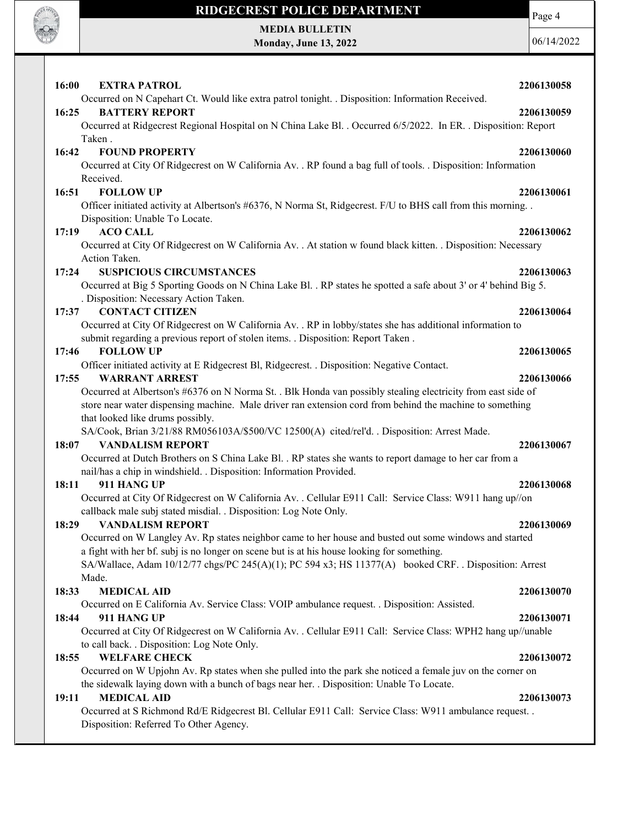

MEDIA BULLETIN Monday, June 13, 2022 Page 4

| 16:00 | <b>EXTRA PATROL</b>                                                                                                                     | 2206130058 |
|-------|-----------------------------------------------------------------------------------------------------------------------------------------|------------|
|       | Occurred on N Capehart Ct. Would like extra patrol tonight. . Disposition: Information Received.                                        |            |
| 16:25 | <b>BATTERY REPORT</b><br>Occurred at Ridgecrest Regional Hospital on N China Lake Bl. . Occurred 6/5/2022. In ER. . Disposition: Report | 2206130059 |
|       | Taken.                                                                                                                                  |            |
| 16:42 | <b>FOUND PROPERTY</b>                                                                                                                   | 2206130060 |
|       | Occurred at City Of Ridgecrest on W California Av. . RP found a bag full of tools. . Disposition: Information                           |            |
|       | Received.                                                                                                                               |            |
| 16:51 | <b>FOLLOW UP</b>                                                                                                                        | 2206130061 |
|       | Officer initiated activity at Albertson's #6376, N Norma St, Ridgecrest. F/U to BHS call from this morning                              |            |
|       | Disposition: Unable To Locate.                                                                                                          |            |
| 17:19 | <b>ACO CALL</b>                                                                                                                         | 2206130062 |
|       | Occurred at City Of Ridgecrest on W California Av. . At station w found black kitten. . Disposition: Necessary                          |            |
|       | Action Taken.                                                                                                                           |            |
| 17:24 | <b>SUSPICIOUS CIRCUMSTANCES</b>                                                                                                         | 2206130063 |
|       | Occurred at Big 5 Sporting Goods on N China Lake Bl. . RP states he spotted a safe about 3' or 4' behind Big 5.                         |            |
|       | . Disposition: Necessary Action Taken.                                                                                                  |            |
| 17:37 | <b>CONTACT CITIZEN</b>                                                                                                                  | 2206130064 |
|       | Occurred at City Of Ridgecrest on W California Av. . RP in lobby/states she has additional information to                               |            |
|       | submit regarding a previous report of stolen items. . Disposition: Report Taken.                                                        |            |
| 17:46 | <b>FOLLOW UP</b>                                                                                                                        | 2206130065 |
| 17:55 | Officer initiated activity at E Ridgecrest Bl, Ridgecrest. . Disposition: Negative Contact.<br><b>WARRANT ARREST</b>                    | 2206130066 |
|       | Occurred at Albertson's #6376 on N Norma St. . Blk Honda van possibly stealing electricity from east side of                            |            |
|       | store near water dispensing machine. Male driver ran extension cord from behind the machine to something                                |            |
|       | that looked like drums possibly.                                                                                                        |            |
|       | SA/Cook, Brian 3/21/88 RM056103A/\$500/VC 12500(A) cited/rel'd. . Disposition: Arrest Made.                                             |            |
| 18:07 | <b>VANDALISM REPORT</b>                                                                                                                 | 2206130067 |
|       | Occurred at Dutch Brothers on S China Lake Bl. . RP states she wants to report damage to her car from a                                 |            |
|       | nail/has a chip in windshield. . Disposition: Information Provided.                                                                     |            |
| 18:11 | 911 HANG UP                                                                                                                             | 2206130068 |
|       | Occurred at City Of Ridgecrest on W California Av. . Cellular E911 Call: Service Class: W911 hang up//on                                |            |
|       | callback male subj stated misdial. . Disposition: Log Note Only.                                                                        |            |
| 18:29 | <b>VANDALISM REPORT</b>                                                                                                                 | 2206130069 |
|       | Occurred on W Langley Av. Rp states neighbor came to her house and busted out some windows and started                                  |            |
|       | a fight with her bf. subj is no longer on scene but is at his house looking for something.                                              |            |
|       | SA/Wallace, Adam 10/12/77 chgs/PC 245(A)(1); PC 594 x3; HS 11377(A) booked CRF. . Disposition: Arrest                                   |            |
|       | Made.                                                                                                                                   |            |
| 18:33 | <b>MEDICAL AID</b>                                                                                                                      | 2206130070 |
|       | Occurred on E California Av. Service Class: VOIP ambulance request. . Disposition: Assisted.                                            |            |
| 18:44 | 911 HANG UP                                                                                                                             | 2206130071 |
|       | Occurred at City Of Ridgecrest on W California Av. . Cellular E911 Call: Service Class: WPH2 hang up//unable                            |            |
|       | to call back. . Disposition: Log Note Only.                                                                                             |            |
| 18:55 | <b>WELFARE CHECK</b>                                                                                                                    | 2206130072 |
|       | Occurred on W Upjohn Av. Rp states when she pulled into the park she noticed a female juv on the corner on                              |            |
| 19:11 | the sidewalk laying down with a bunch of bags near her. . Disposition: Unable To Locate.<br><b>MEDICAL AID</b>                          | 2206130073 |
|       | Occurred at S Richmond Rd/E Ridgecrest Bl. Cellular E911 Call: Service Class: W911 ambulance request. .                                 |            |
|       |                                                                                                                                         |            |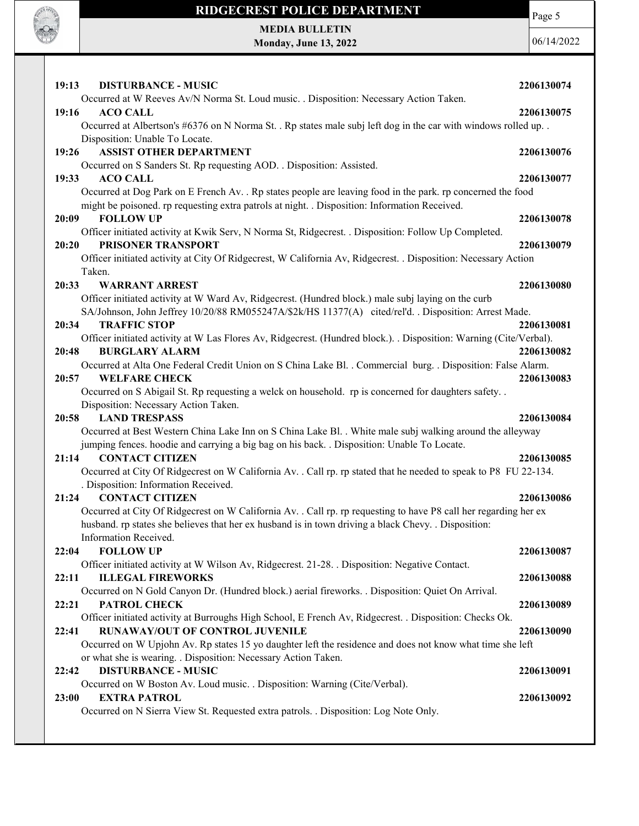

Page 5

| 19:19<br>DISTURBANCE - MUSIC                                                                                       | <i>22</i> 00130074 |
|--------------------------------------------------------------------------------------------------------------------|--------------------|
| Occurred at W Reeves Av/N Norma St. Loud music. . Disposition: Necessary Action Taken.                             |                    |
| 19:16<br><b>ACO CALL</b>                                                                                           | 2206130075         |
| Occurred at Albertson's #6376 on N Norma St. . Rp states male subj left dog in the car with windows rolled up. .   |                    |
| Disposition: Unable To Locate.                                                                                     |                    |
| <b>ASSIST OTHER DEPARTMENT</b><br>19:26                                                                            | 2206130076         |
| Occurred on S Sanders St. Rp requesting AOD. . Disposition: Assisted.                                              |                    |
| 19:33<br><b>ACO CALL</b>                                                                                           | 2206130077         |
| Occurred at Dog Park on E French Av. . Rp states people are leaving food in the park. rp concerned the food        |                    |
| might be poisoned. rp requesting extra patrols at night. . Disposition: Information Received.                      |                    |
| <b>FOLLOW UP</b><br>20:09                                                                                          | 2206130078         |
| Officer initiated activity at Kwik Serv, N Norma St, Ridgecrest. . Disposition: Follow Up Completed.               |                    |
| PRISONER TRANSPORT<br>20:20                                                                                        | 2206130079         |
| Officer initiated activity at City Of Ridgecrest, W California Av, Ridgecrest. . Disposition: Necessary Action     |                    |
|                                                                                                                    |                    |
| Taken.                                                                                                             |                    |
| 20:33<br><b>WARRANT ARREST</b>                                                                                     | 2206130080         |
| Officer initiated activity at W Ward Av, Ridgecrest. (Hundred block.) male subj laying on the curb                 |                    |
| SA/Johnson, John Jeffrey 10/20/88 RM055247A/\$2k/HS 11377(A) cited/rel'd. . Disposition: Arrest Made.              |                    |
| <b>TRAFFIC STOP</b><br>20:34                                                                                       | 2206130081         |
| Officer initiated activity at W Las Flores Av, Ridgecrest. (Hundred block.). . Disposition: Warning (Cite/Verbal). |                    |
| <b>BURGLARY ALARM</b><br>20:48                                                                                     | 2206130082         |
| Occurred at Alta One Federal Credit Union on S China Lake Bl. . Commercial burg. . Disposition: False Alarm.       |                    |
| <b>WELFARE CHECK</b><br>20:57                                                                                      | 2206130083         |
| Occurred on S Abigail St. Rp requesting a welck on household. rp is concerned for daughters safety                 |                    |
| Disposition: Necessary Action Taken.                                                                               |                    |
| <b>LAND TRESPASS</b><br>20:58                                                                                      | 2206130084         |
| Occurred at Best Western China Lake Inn on S China Lake Bl. . White male subj walking around the alleyway          |                    |
| jumping fences. hoodie and carrying a big bag on his back. . Disposition: Unable To Locate.                        |                    |
| <b>CONTACT CITIZEN</b><br>21:14                                                                                    | 2206130085         |
| Occurred at City Of Ridgecrest on W California Av. . Call rp. rp stated that he needed to speak to P8 FU 22-134.   |                    |
| . Disposition: Information Received.                                                                               |                    |
| <b>CONTACT CITIZEN</b><br>21:24                                                                                    | 2206130086         |
| Occurred at City Of Ridgecrest on W California Av. . Call rp. rp requesting to have P8 call her regarding her ex   |                    |
| husband. rp states she believes that her ex husband is in town driving a black Chevy. . Disposition:               |                    |
| Information Received.                                                                                              |                    |
| <b>FOLLOW UP</b><br>22:04                                                                                          | 2206130087         |
| Officer initiated activity at W Wilson Av, Ridgecrest. 21-28. . Disposition: Negative Contact.                     |                    |
| <b>ILLEGAL FIREWORKS</b><br>22:11                                                                                  | 2206130088         |
| Occurred on N Gold Canyon Dr. (Hundred block.) aerial fireworks. . Disposition: Quiet On Arrival.                  |                    |
| <b>PATROL CHECK</b><br>22:21                                                                                       | 2206130089         |
| Officer initiated activity at Burroughs High School, E French Av, Ridgecrest. . Disposition: Checks Ok.            |                    |
| <b>RUNAWAY/OUT OF CONTROL JUVENILE</b><br>22:41                                                                    | 2206130090         |
| Occurred on W Upjohn Av. Rp states 15 yo daughter left the residence and does not know what time she left          |                    |
| or what she is wearing. . Disposition: Necessary Action Taken.                                                     |                    |
| <b>DISTURBANCE - MUSIC</b><br>22:42                                                                                | 2206130091         |
| Occurred on W Boston Av. Loud music. . Disposition: Warning (Cite/Verbal).                                         |                    |
|                                                                                                                    |                    |
|                                                                                                                    |                    |
| <b>EXTRA PATROL</b><br>23:00                                                                                       | 2206130092         |
| Occurred on N Sierra View St. Requested extra patrols. . Disposition: Log Note Only.                               |                    |